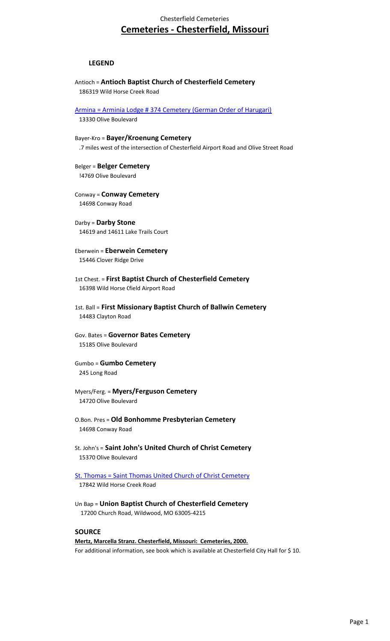## Chesterfield Cemeteries **Cemeteries - Chesterfield, Missouri**

## **LEGEND**

- Antioch = **Antioch Baptist Church of Chesterfield Cemetery** 186319 Wild Horse Creek Road
- [Armina = Arminia Lodge # 374 Cemetery \(German Order of Harugari\)](http://www.chesterfield.mo.us/webcontent/Agendas/PlanAgendaDocs/_Tombstones/CemeterySigns/Arminan Lodge.jpg)

13330 Olive Boulevard

- Bayer-Kro = **Bayer/Kroenung Cemetery** .7 miles west of the intersection of Chesterfield Airport Road and Olive Street Road
- Belger = **Belger Cemetery** !4769 Olive Boulevard
- Conway = **Conway Cemetery** 14698 Conway Road

Darby = **Darby Stone** 14619 and 14611 Lake Trails Court

Eberwein = **Eberwein Cemetery** 15446 Clover Ridge Drive

- 1st Chest. = **First Baptist Church of Chesterfield Cemetery** 16398 Wild Horse Cfield Airport Road
- 1st. Ball = **First Missionary Baptist Church of Ballwin Cemetery** 14483 Clayton Road
- Gov. Bates = **Governor Bates Cemetery** 15185 Olive Boulevard
- Gumbo = **Gumbo Cemetery** 245 Long Road
- Myers/Ferg. = **Myers/Ferguson Cemetery** 14720 Olive Boulevard
- O.Bon. Pres = **Old Bonhomme Presbyterian Cemetery** 14698 Conway Road
- St. John's = **Saint John's United Church of Christ Cemetery** 15370 Olive Boulevard
- [St. Thomas = Saint Thomas United Church of Christ Cemetery](http://www.chesterfield.mo.us/webcontent/Agendas/PlanAgendaDocs/_Tombstones/CemeterySigns/St. Thomas.jpg) 17842 Wild Horse Creek Road
- Un Bap = **Union Baptist Church of Chesterfield Cemetery** 17200 Church Road, Wildwood, MO 63005-4215

## **SOURCE**

**Mertz, Marcella Stranz. Chesterfield, Missouri: Cemeteries, 2000.** For additional information, see book which is available at Chesterfield City Hall for \$10.